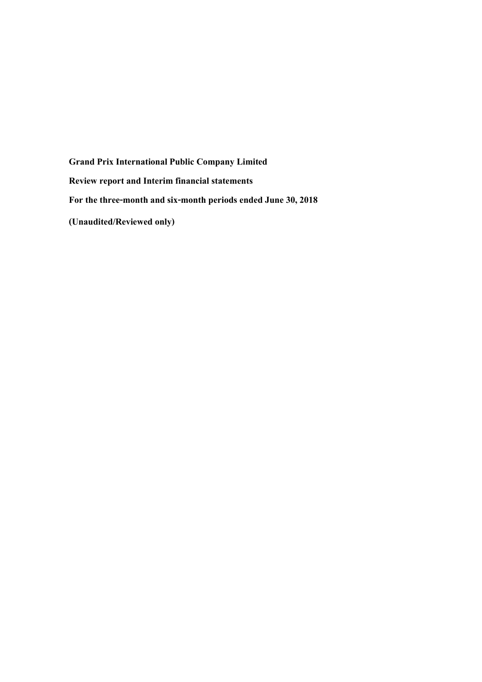**Grand Prix International Public Company Limited Review report and Interim financial statements For the three-month and six-month periods ended June 30, 2018 (Unaudited/Reviewed only)**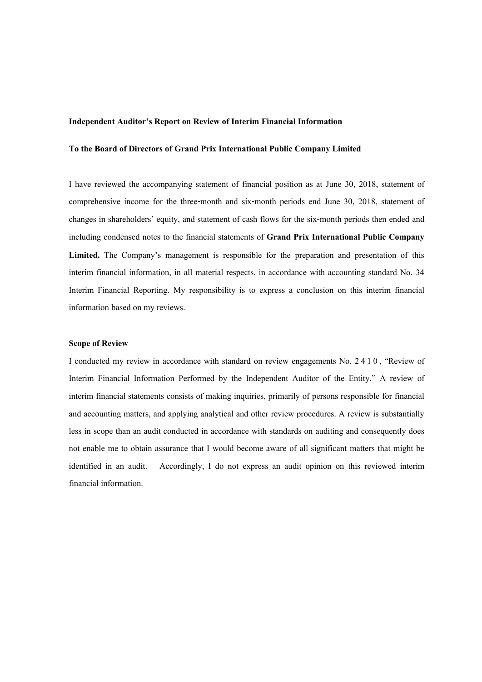#### **Independent Auditor's Report on Review of Interim Financial Information**

#### **To the Board of Directors of Grand Prix International Public Company Limited**

I have reviewed the accompanying statement of financial position as at June 30, 2018, statement of comprehensive income for the three-month and six-month periods end June 30, 2018, statement of changes in shareholders' equity, and statement of cash flows for the six-month periods then ended and including condensed notes to the financial statements of **Grand Prix International Public Company Limited.** The Company's management is responsible for the preparation and presentation of this interim financial information, in all material respects, in accordance with accounting standard No. 34 Interim Financial Reporting. My responsibility is to express a conclusion on this interim financial information based on my reviews.

## **Scope of Review**

I conducted my review in accordance with standard on review engagements No. 2410, "Review of Interim Financial Information Performed by the Independent Auditor of the Entity." A review of interim financial statements consists of making inquiries, primarily of persons responsible for financial and accounting matters, and applying analytical and other review procedures. A review is substantially less in scope than an audit conducted in accordance with standards on auditing and consequently does not enable me to obtain assurance that I would become aware of all significant matters that might be identified in an audit. Accordingly, I do not express an audit opinion on this reviewed interim financial information.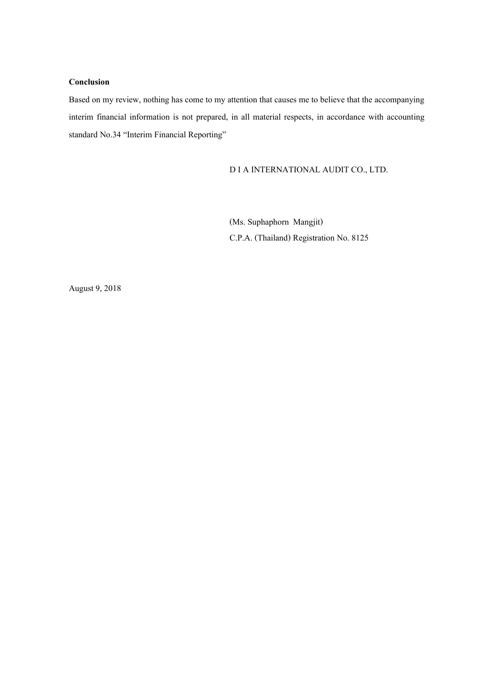## **Conclusion**

Based on my review, nothing has come to my attention that causes me to believe that the accompanying interim financial information is not prepared, in all material respects, in accordance with accounting standard No.34 "Interim Financial Reporting"

## D I A INTERNATIONAL AUDIT CO., LTD.

(Ms.Suphaphorn Mangjit) C.P.A. (Thailand) Registration No. 8125

August 9, 2018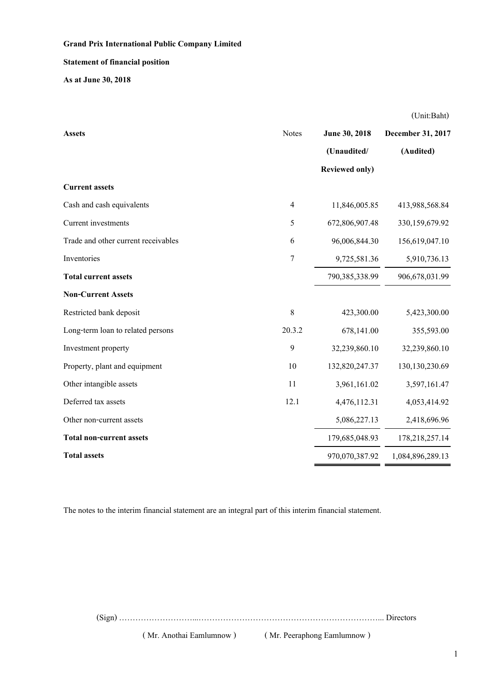## **Statement of financial position**

**As at June 30, 2018**

| <b>Assets</b>                       | <b>Notes</b>   | June 30, 2018<br>(Unaudited/<br><b>Reviewed only)</b> | December 31, 2017<br>(Audited) |
|-------------------------------------|----------------|-------------------------------------------------------|--------------------------------|
| <b>Current assets</b>               |                |                                                       |                                |
| Cash and cash equivalents           | 4              | 11,846,005.85                                         | 413,988,568.84                 |
| Current investments                 | 5              | 672,806,907.48                                        | 330,159,679.92                 |
| Trade and other current receivables | 6              | 96,006,844.30                                         | 156,619,047.10                 |
| Inventories                         | $\overline{7}$ | 9,725,581.36                                          | 5,910,736.13                   |
| <b>Total current assets</b>         |                | 790,385,338.99                                        | 906,678,031.99                 |
| <b>Non-Current Assets</b>           |                |                                                       |                                |
| Restricted bank deposit             | 8              | 423,300.00                                            | 5,423,300.00                   |
| Long-term loan to related persons   | 20.3.2         | 678,141.00                                            | 355,593.00                     |
| Investment property                 | 9              | 32,239,860.10                                         | 32,239,860.10                  |
| Property, plant and equipment       | 10             | 132,820,247.37                                        | 130, 130, 230.69               |
| Other intangible assets             | 11             | 3,961,161.02                                          | 3,597,161.47                   |
| Deferred tax assets                 | 12.1           | 4,476,112.31                                          | 4,053,414.92                   |
| Other non-current assets            |                | 5,086,227.13                                          | 2,418,696.96                   |
| <b>Total non-current assets</b>     |                | 179,685,048.93                                        | 178,218,257.14                 |
| <b>Total assets</b>                 |                | 970,070,387.92                                        | 1,084,896,289.13               |

The notes to the interim financial statement are an integral part of this interim financial statement.

(Sign) ………………………...…………………………………………………………... Directors

( Mr. Anothai Eamlumnow ) ( Mr. Peeraphong Eamlumnow )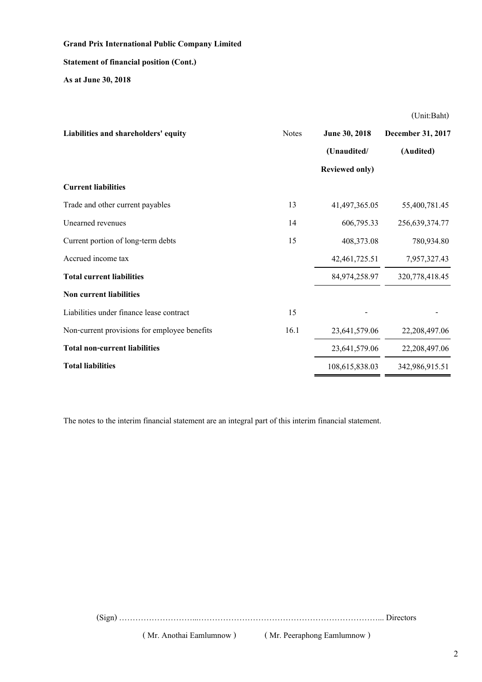#### **Statement of financial position (Cont.)**

**As at June 30, 2018**

**Liabilities and shareholders' equity** Notes **June 30, 2018 December 31, 2017 (Unaudited/ (Audited) Reviewed only) Current liabilities** Trade and other current payables 13 41,497,365.05 55,400,781.45 Unearned revenues 14 606,795.33 256,639,374.77 Current portion of long-term debts 15 408,373.08 780,934.80 Accrued income tax 42,461,725.51 7,957,327.43 **Total current liabilities** 84,974,258.97 320,778,418.45 **Non current liabilities** Liabilities under finance lease contract 15 Non-current provisions for employee benefits 16.1 23,641,579.06 22,208,497.06 **Total non-current liabilities** 23,641,579.06 22,208,497.06 **Total liabilities** 108,615,838.03 342,986,915.51

The notes to the interim financial statement are an integral part of this interim financial statement.

(Sign) ………………………...…………………………………………………………... Directors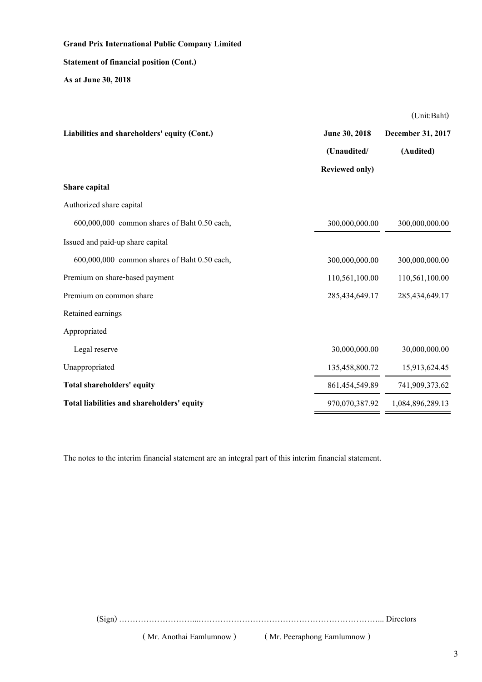## **Statement of financial position (Cont.)**

**As at June 30, 2018**

(Unit:Baht)

| Liabilities and shareholders' equity (Cont.) | June 30, 2018         | December 31, 2017 |
|----------------------------------------------|-----------------------|-------------------|
|                                              | (Unaudited/           | (Audited)         |
|                                              | <b>Reviewed only)</b> |                   |
| Share capital                                |                       |                   |
| Authorized share capital                     |                       |                   |
| 600,000,000 common shares of Baht 0.50 each, | 300,000,000.00        | 300,000,000.00    |
| Issued and paid-up share capital             |                       |                   |
| 600,000,000 common shares of Baht 0.50 each, | 300,000,000.00        | 300,000,000.00    |
| Premium on share-based payment               | 110,561,100.00        | 110,561,100.00    |
| Premium on common share                      | 285,434,649.17        | 285,434,649.17    |
| Retained earnings                            |                       |                   |
| Appropriated                                 |                       |                   |
| Legal reserve                                | 30,000,000.00         | 30,000,000.00     |
| Unappropriated                               | 135,458,800.72        | 15,913,624.45     |
| Total shareholders' equity                   | 861,454,549.89        | 741,909,373.62    |
| Total liabilities and shareholders' equity   | 970,070,387.92        | 1,084,896,289.13  |

The notes to the interim financial statement are an integral part of this interim financial statement.

(Sign) ………………………...…………………………………………………………... Directors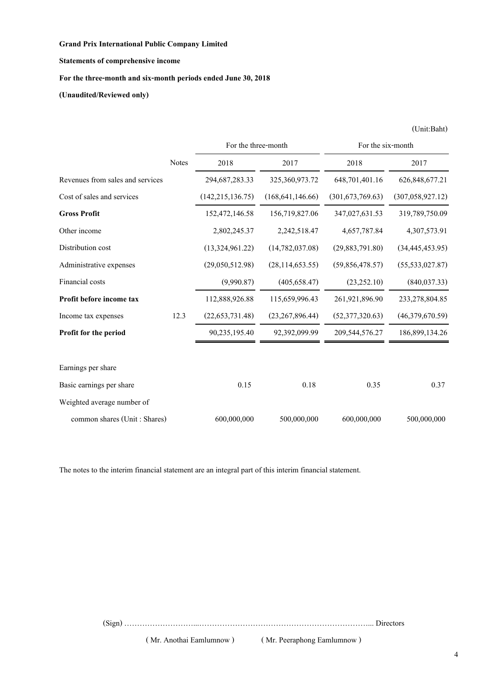## **Statements of comprehensive income**

## **For the three-month and six-month periods ended June 30, 2018**

**(Unaudited/Reviewed only)**

|                                  |              | For the three-month |                    | For the six-month  |                    |
|----------------------------------|--------------|---------------------|--------------------|--------------------|--------------------|
|                                  | <b>Notes</b> | 2018                | 2017               | 2018               | 2017               |
| Revenues from sales and services |              | 294,687,283.33      | 325,360,973.72     | 648,701,401.16     | 626, 848, 677. 21  |
| Cost of sales and services       |              | (142, 215, 136.75)  | (168, 641, 146.66) | (301, 673, 769.63) | (307, 058, 927.12) |
| <b>Gross Profit</b>              |              | 152,472,146.58      | 156,719,827.06     | 347,027,631.53     | 319,789,750.09     |
| Other income                     |              | 2,802,245.37        | 2,242,518.47       | 4,657,787.84       | 4,307,573.91       |
| Distribution cost                |              | (13,324,961.22)     | (14, 782, 037.08)  | (29, 883, 791.80)  | (34, 445, 453.95)  |
| Administrative expenses          |              | (29,050,512.98)     | (28, 114, 653.55)  | (59,856,478.57)    | (55, 533, 027.87)  |
| Financial costs                  |              | (9,990.87)          | (405, 658.47)      | (23, 252.10)       | (840, 037.33)      |
| Profit before income tax         |              | 112,888,926.88      | 115,659,996.43     | 261,921,896.90     | 233,278,804.85     |
| Income tax expenses              | 12.3         | (22, 653, 731.48)   | (23, 267, 896.44)  | (52,377,320.63)    | (46,379,670.59)    |
| <b>Profit for the period</b>     |              | 90,235,195.40       | 92,392,099.99      | 209,544,576.27     | 186,899,134.26     |
| Earnings per share               |              |                     |                    |                    |                    |
| Basic earnings per share         |              | 0.15                | 0.18               | 0.35               | 0.37               |
| Weighted average number of       |              |                     |                    |                    |                    |
| common shares (Unit: Shares)     |              | 600,000,000         | 500,000,000        | 600,000,000        | 500,000,000        |

The notes to the interim financial statement are an integral part of this interim financial statement.

(Sign) ………………………...…………………………………………………………... Directors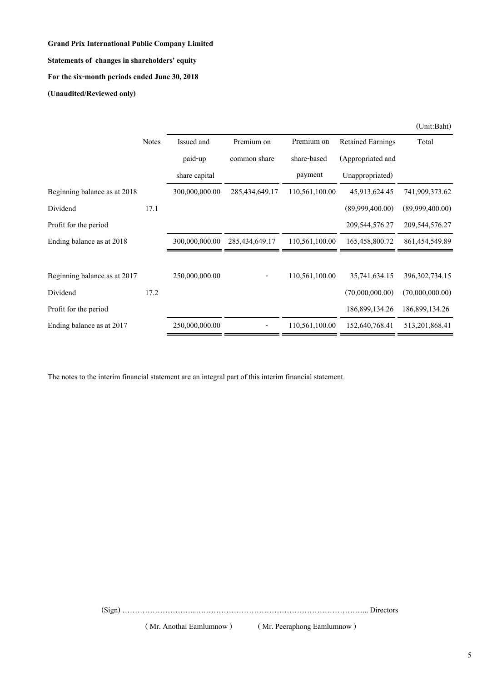## **Grand Prix International Public Company Limited Statements of changes in shareholders' equity For the six-month periods ended June 30, 2018**

**(Unaudited/Reviewed only)**

|                              | <b>Notes</b> | Issued and     | Premium on        | Premium on     | <b>Retained Earnings</b> | Total             |
|------------------------------|--------------|----------------|-------------------|----------------|--------------------------|-------------------|
|                              |              | paid-up        | common share      | share-based    | (Appropriated and        |                   |
|                              |              | share capital  |                   | payment        | Unappropriated)          |                   |
| Beginning balance as at 2018 |              | 300,000,000.00 | 285,434,649.17    | 110,561,100.00 | 45,913,624.45            | 741,909,373.62    |
| Dividend                     | 17.1         |                |                   |                | (89,999,400.00)          | (89,999,400.00)   |
| Profit for the period        |              |                |                   |                | 209,544,576.27           | 209,544,576.27    |
| Ending balance as at 2018    |              | 300,000,000.00 | 285, 434, 649. 17 | 110,561,100.00 | 165,458,800.72           | 861, 454, 549.89  |
|                              |              |                |                   |                |                          |                   |
| Beginning balance as at 2017 |              | 250,000,000.00 |                   | 110,561,100.00 | 35,741,634.15            | 396, 302, 734. 15 |
| Dividend                     | 17.2         |                |                   |                | (70,000,000.00)          | (70,000,000,00)   |
| Profit for the period        |              |                |                   |                | 186,899,134.26           | 186,899,134.26    |
| Ending balance as at 2017    |              | 250,000,000.00 |                   | 110,561,100.00 | 152,640,768.41           | 513,201,868.41    |

The notes to the interim financial statement are an integral part of this interim financial statement.

(Sign) ………………………...…………………………………………………………... Directors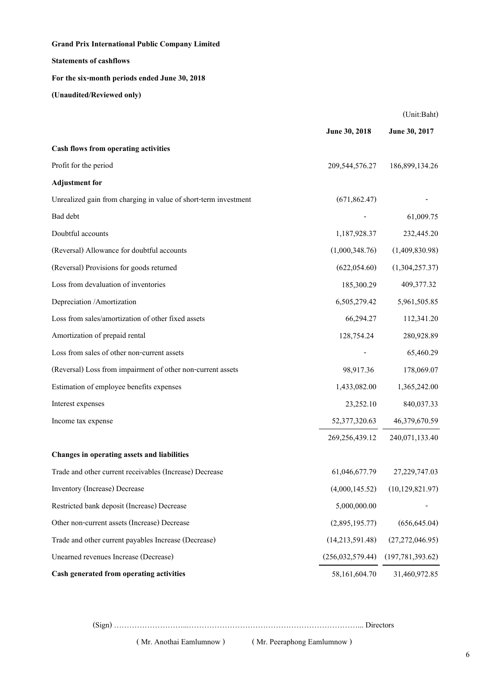## **Statements of cashflows**

## **For the six-month periods ended June 30, 2018**

**(Unaudited/Reviewed only)**

|                                                                 |                    | (Unit:Baht)        |
|-----------------------------------------------------------------|--------------------|--------------------|
|                                                                 | June 30, 2018      | June 30, 2017      |
| Cash flows from operating activities                            |                    |                    |
| Profit for the period                                           | 209,544,576.27     | 186,899,134.26     |
| <b>Adjustment</b> for                                           |                    |                    |
| Unrealized gain from charging in value of short-term investment | (671, 862.47)      |                    |
| Bad debt                                                        |                    | 61,009.75          |
| Doubtful accounts                                               | 1,187,928.37       | 232,445.20         |
| (Reversal) Allowance for doubtful accounts                      | (1,000,348.76)     | (1,409,830.98)     |
| (Reversal) Provisions for goods returned                        | (622, 054.60)      | (1,304,257.37)     |
| Loss from devaluation of inventories                            | 185,300.29         | 409,377.32         |
| Depreciation /Amortization                                      | 6,505,279.42       | 5,961,505.85       |
| Loss from sales/amortization of other fixed assets              | 66,294.27          | 112,341.20         |
| Amortization of prepaid rental                                  | 128,754.24         | 280,928.89         |
| Loss from sales of other non-current assets                     |                    | 65,460.29          |
| (Reversal) Loss from impairment of other non-current assets     | 98,917.36          | 178,069.07         |
| Estimation of employee benefits expenses                        | 1,433,082.00       | 1,365,242.00       |
| Interest expenses                                               | 23,252.10          | 840,037.33         |
| Income tax expense                                              | 52,377,320.63      | 46,379,670.59      |
|                                                                 | 269,256,439.12     | 240,071,133.40     |
| Changes in operating assets and liabilities                     |                    |                    |
| Trade and other current receivables (Increase) Decrease         | 61,046,677.79      | 27,229,747.03      |
| Inventory (Increase) Decrease                                   | (4,000,145.52)     | (10, 129, 821.97)  |
| Restricted bank deposit (Increase) Decrease                     | 5,000,000.00       |                    |
| Other non-current assets (Increase) Decrease                    | (2,895,195.77)     | (656, 645.04)      |
| Trade and other current payables Increase (Decrease)            | (14,213,591.48)    | (27,272,046.95)    |
| Unearned revenues Increase (Decrease)                           | (256, 032, 579.44) | (197, 781, 393.62) |
| Cash generated from operating activities                        | 58,161,604.70      | 31,460,972.85      |

(Sign) ………………………...…………………………………………………………... Directors

( Mr. Anothai Eamlumnow ) ( Mr. Peeraphong Eamlumnow )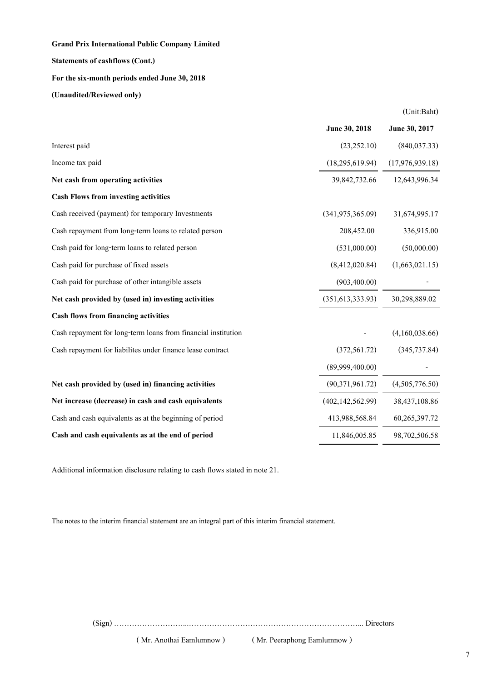**Grand Prix International Public Company Limited Statements of cashflows (Cont.) For the six-month periods ended June 30, 2018 (Unaudited/Reviewed only)**

**June 30, 2018 June 30, 2017** Interest paid (23,252.10) (840,037.33) Income tax paid (18,295,619.94) (17,976,939.18) **Net cash from operating activities** 39,842,732.66 12,643,996.34 **Cash Flows from investing activities** Cash received (payment) for temporary Investments (341,975,365.09) 31,674,995.17 Cash repayment from long-term loans to related person 208,452.00 336,915.00 Cash paid for long-term loans to related person (531,000.00) (50,000.00) (50,000.00) Cash paid for purchase of fixed assets (8,412,020.84) (1,663,021.15) Cash paid for purchase of other intangible assets (903,400.00) **Net cash provided by (used in) investing activities** (351,613,333.93) 30,298,889.02 **Cash flows from financing activities** Cash repayment for long-term loans from financial institution (4,160,038.66) Cash repayment for liabilites under finance lease contract (372,561.72) (345,737.84)  $(89,999,400.00)$ **Net cash provided by (used in) financing activities** (90,371,961.72) (4,505,776.50) **Net increase (decrease) in cash and cash equivalents** (402,142,562.99) 38,437,108.86 Cash and cash equivalents as at the beginning of period 413,988,568.84 60,265,397.72 **Cash and cash equivalents as at the end of period** 11,846,005.85 98,702,506.58

Additional information disclosure relating to cash flows stated in note 21.

The notes to the interim financial statement are an integral part of this interim financial statement.

(Sign) ………………………...…………………………………………………………... Directors

( Mr. Anothai Eamlumnow ) ( Mr. Peeraphong Eamlumnow )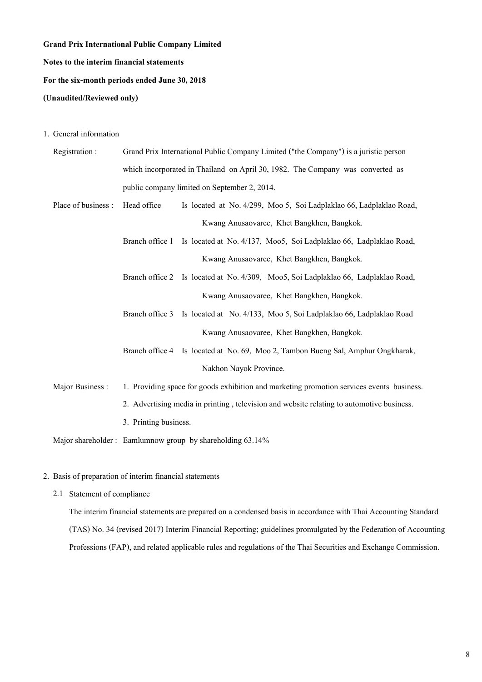# **Grand Prix International Public Company Limited Notes to the interim financial statements For the six-month periods ended June 30, 2018**

## **(Unaudited/Reviewed only)**

1. General information

| Registration:       |                       | Grand Prix International Public Company Limited ("the Company") is a juristic person      |
|---------------------|-----------------------|-------------------------------------------------------------------------------------------|
|                     |                       | which incorporated in Thailand on April 30, 1982. The Company was converted as            |
|                     |                       | public company limited on September 2, 2014.                                              |
| Place of business : | Head office           | Is located at No. 4/299, Moo 5, Soi Ladplaklao 66, Ladplaklao Road,                       |
|                     |                       | Kwang Anusaovaree, Khet Bangkhen, Bangkok.                                                |
|                     | Branch office 1       | Is located at No. 4/137, Moo5, Soi Ladplaklao 66, Ladplaklao Road,                        |
|                     |                       | Kwang Anusaovaree, Khet Bangkhen, Bangkok.                                                |
|                     |                       | Branch office 2 Is located at No. 4/309, Moo5, Soi Ladplaklao 66, Ladplaklao Road,        |
|                     |                       | Kwang Anusaovaree, Khet Bangkhen, Bangkok.                                                |
|                     | Branch office 3       | Is located at No. 4/133, Moo 5, Soi Ladplaklao 66, Ladplaklao Road                        |
|                     |                       | Kwang Anusaovaree, Khet Bangkhen, Bangkok.                                                |
|                     |                       | Branch office 4 Is located at No. 69, Moo 2, Tambon Bueng Sal, Amphur Ongkharak,          |
|                     |                       | Nakhon Nayok Province.                                                                    |
| Major Business:     |                       | 1. Providing space for goods exhibition and marketing promotion services events business. |
|                     |                       | 2. Advertising media in printing, television and website relating to automotive business. |
|                     | 3. Printing business. |                                                                                           |
|                     |                       | Major shareholder: Eamlumnow group by shareholding 63.14%                                 |

## 2. Basis of preparation of interim financial statements

2.1 Statement of compliance

The interim financial statements are prepared on a condensed basis in accordance with Thai Accounting Standard (TAS) No. 34 (revised 2017) Interim Financial Reporting; guidelines promulgated by the Federation of Accounting Professions (FAP), and related applicable rules and regulations of the Thai Securities and Exchange Commission.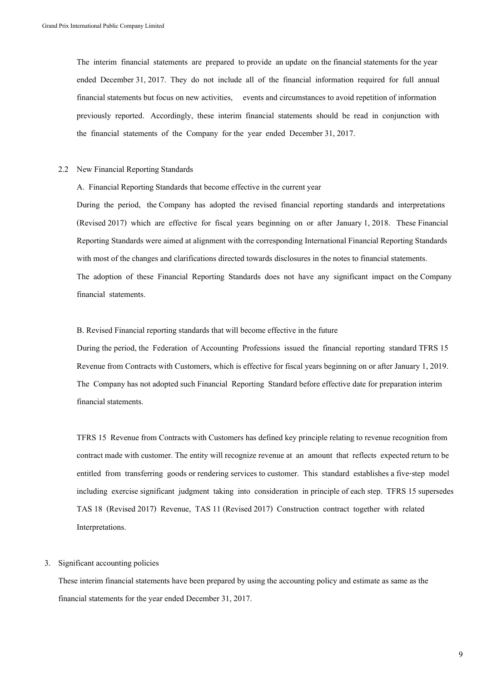The interim financial statements are prepared to provide an update on the financial statements for the year ended December 31, 2017. They do not include all of the financial information required for full annual financial statements but focus on new activities, events and circumstances to avoid repetition of information previously reported. Accordingly, these interim financial statements should be read in conjunction with the financial statements of the Company for the year ended December 31, 2017.

#### 2.2 New Financial Reporting Standards

A. Financial Reporting Standards that become effective in the current year

During the period, the Company has adopted the revised financial reporting standards and interpretations (Revised 2017) which are effective for fiscal years beginning on or after January 1, 2018. These Financial Reporting Standards were aimed at alignment with the corresponding International Financial Reporting Standards with most of the changes and clarifications directed towards disclosures in the notes to financial statements. The adoption of these Financial Reporting Standards does not have any significant impact on the Company financial statements.

#### B. Revised Financial reporting standards that will become effective in the future

During the period, the Federation of Accounting Professions issued the financial reporting standard TFRS 15 Revenue from Contracts with Customers, which is effective for fiscal years beginning on or after January 1, 2019. The Company has not adopted such Financial Reporting Standard before effective date for preparation interim financial statements.

TFRS 15 Revenue from Contracts with Customers has defined key principle relating to revenue recognition from contract made with customer. The entity will recognize revenue at an amount that reflects expected return to be entitled from transferring goods or rendering services to customer. This standard establishes a five-step model including exercise significant judgment taking into consideration in principle of each step. TFRS 15 supersedes TAS 18 (Revised 2017) Revenue, TAS 11 (Revised 2017) Construction contract together with related Interpretations.

#### 3. Significant accounting policies

These interim financial statements have been prepared by using the accounting policy and estimate as same as the financial statements for the year ended December 31, 2017.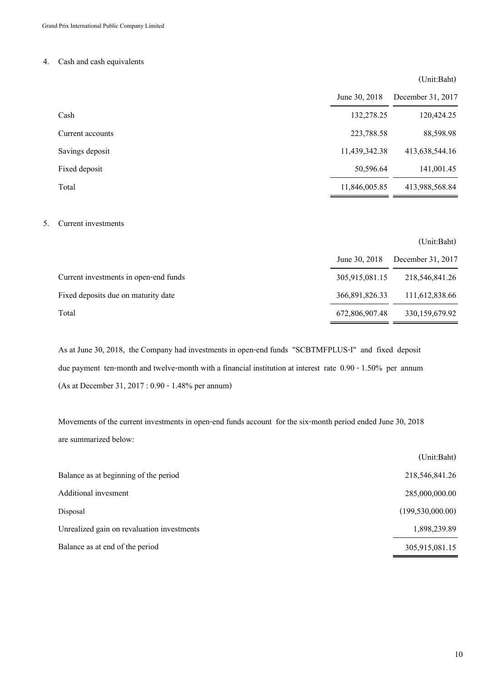## 4. Cash and cash equivalents

## (Unit:Baht)

(Unit:Baht)

|                  | June 30, 2018 | December 31, 2017 |
|------------------|---------------|-------------------|
| Cash             | 132,278.25    | 120,424.25        |
| Current accounts | 223,788.58    | 88,598.98         |
| Savings deposit  | 11,439,342.38 | 413,638,544.16    |
| Fixed deposit    | 50,596.64     | 141,001.45        |
| Total            | 11,846,005.85 | 413,988,568.84    |

#### 5. Current investments

|                                       | June 30, 2018  | December 31, 2017 |
|---------------------------------------|----------------|-------------------|
| Current investments in open-end funds | 305,915,081.15 | 218,546,841.26    |
| Fixed deposits due on maturity date   | 366,891,826.33 | 111,612,838.66    |
| Total                                 | 672,806,907.48 | 330, 159, 679. 92 |

As at June 30, 2018, the Company had investments in open-end funds "SCBTMFPLUS-I" and fixed deposit due payment ten-month and twelve-month with a financial institution at interest rate 0.90 - 1.50% per annum (As at December 31, 2017 : 0.90 - 1.48% per annum)

Movements of the current investments in open-end funds account for the six-month period ended June 30, 2018 are summarized below:

|                                            | (Unit:Baht)        |
|--------------------------------------------|--------------------|
| Balance as at beginning of the period      | 218,546,841.26     |
| Additional invesment                       | 285,000,000.00     |
| Disposal                                   | (199, 530, 000.00) |
| Unrealized gain on revaluation investments | 1,898,239.89       |
| Balance as at end of the period            | 305,915,081.15     |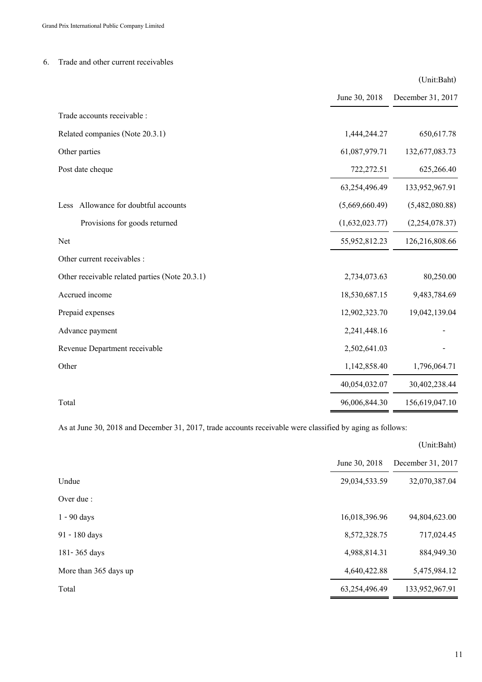## 6. Trade and other current receivables

|                                                |                | (Unit:Baht)       |
|------------------------------------------------|----------------|-------------------|
|                                                | June 30, 2018  | December 31, 2017 |
| Trade accounts receivable :                    |                |                   |
| Related companies (Note 20.3.1)                | 1,444,244.27   | 650,617.78        |
| Other parties                                  | 61,087,979.71  | 132,677,083.73    |
| Post date cheque                               | 722,272.51     | 625,266.40        |
|                                                | 63,254,496.49  | 133,952,967.91    |
| Allowance for doubtful accounts<br>Less        | (5,669,660.49) | (5,482,080.88)    |
| Provisions for goods returned                  | (1,632,023.77) | (2,254,078.37)    |
| <b>Net</b>                                     | 55,952,812.23  | 126,216,808.66    |
| Other current receivables :                    |                |                   |
| Other receivable related parties (Note 20.3.1) | 2,734,073.63   | 80,250.00         |
| Accrued income                                 | 18,530,687.15  | 9,483,784.69      |
| Prepaid expenses                               | 12,902,323.70  | 19,042,139.04     |
| Advance payment                                | 2,241,448.16   |                   |
| Revenue Department receivable                  | 2,502,641.03   |                   |
| Other                                          | 1,142,858.40   | 1,796,064.71      |
|                                                | 40,054,032.07  | 30,402,238.44     |
| Total                                          | 96,006,844.30  | 156,619,047.10    |

As at June 30, 2018 and December 31, 2017, trade accounts receivable were classified by aging as follows:

|                       |               | (Unit:Baht)       |
|-----------------------|---------------|-------------------|
|                       | June 30, 2018 | December 31, 2017 |
| Undue                 | 29,034,533.59 | 32,070,387.04     |
| Over due :            |               |                   |
| $1 - 90$ days         | 16,018,396.96 | 94,804,623.00     |
| 91 - 180 days         | 8,572,328.75  | 717,024.45        |
| 181-365 days          | 4,988,814.31  | 884,949.30        |
| More than 365 days up | 4,640,422.88  | 5,475,984.12      |
| Total                 | 63,254,496.49 | 133,952,967.91    |

11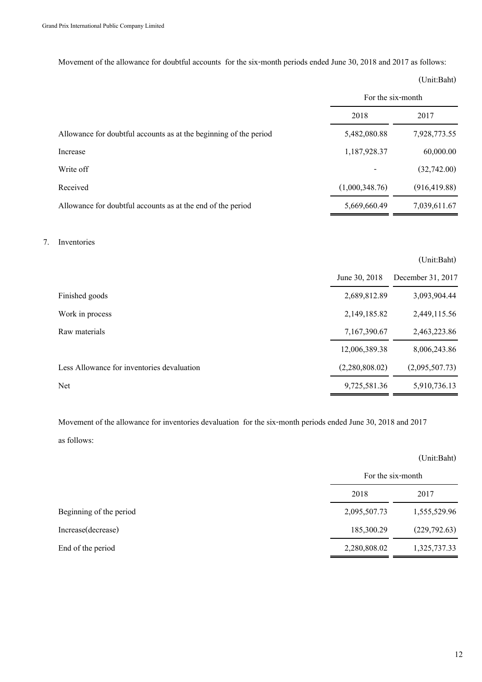Movement of the allowance for doubtful accounts for the six-month periods ended June 30, 2018 and 2017 as follows:

(Unit:Baht)

|                                                                   | For the six-month |               |
|-------------------------------------------------------------------|-------------------|---------------|
|                                                                   | 2018              | 2017          |
| Allowance for doubtful accounts as at the beginning of the period | 5,482,080.88      | 7,928,773.55  |
| Increase                                                          | 1,187,928.37      | 60,000.00     |
| Write off                                                         |                   | (32,742.00)   |
| Received                                                          | (1,000,348.76)    | (916, 419.88) |
| Allowance for doubtful accounts as at the end of the period       | 5,669,660.49      | 7,039,611.67  |

### 7. Inventories

|                                            |                | (Unit:Baht)       |
|--------------------------------------------|----------------|-------------------|
|                                            | June 30, 2018  | December 31, 2017 |
| Finished goods                             | 2,689,812.89   | 3,093,904.44      |
| Work in process                            | 2,149,185.82   | 2,449,115.56      |
| Raw materials                              | 7,167,390.67   | 2,463,223.86      |
|                                            | 12,006,389.38  | 8,006,243.86      |
| Less Allowance for inventories devaluation | (2,280,808.02) | (2,095,507.73)    |
| <b>Net</b>                                 | 9,725,581.36   | 5,910,736.13      |

Movement of the allowance for inventories devaluation for the six-month periods ended June 30, 2018 and 2017 as follows:

|                         |                   | (Unit:Baht)   |
|-------------------------|-------------------|---------------|
|                         | For the six-month |               |
|                         | 2018              | 2017          |
| Beginning of the period | 2,095,507.73      | 1,555,529.96  |
| Increase(decrease)      | 185,300.29        | (229, 792.63) |
| End of the period       | 2,280,808.02      | 1,325,737.33  |
|                         |                   |               |

## 12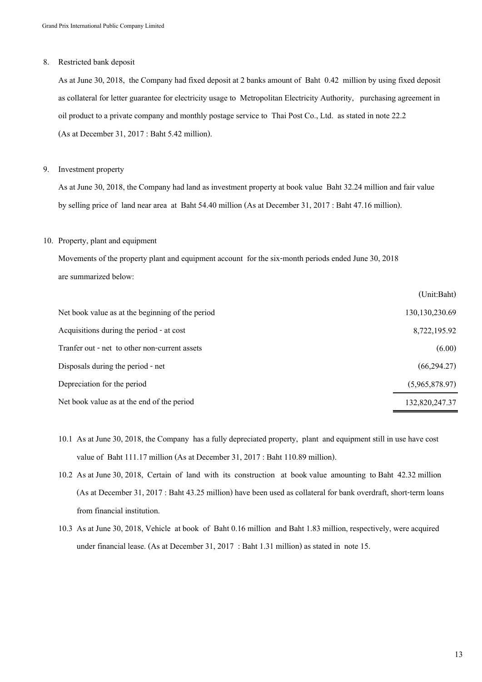#### 8. Restricted bank deposit

As at June 30, 2018, the Company had fixed deposit at 2 banks amount of Baht 0.42 million by using fixed deposit as collateral for letter guarantee for electricity usage to Metropolitan Electricity Authority, purchasing agreement in oil product to a private company and monthly postage service to Thai Post Co., Ltd. as stated in note 22.2 (As at December 31, 2017 : Baht 5.42 million).

#### 9. Investment property

As at June 30, 2018, the Company had land as investment property at book value Baht 32.24 million and fair value by selling price of land near area at Baht 54.40 million (As at December 31, 2017 : Baht 47.16 million).

#### 10. Property, plant and equipment

Movements of the property plant and equipment account for the six-month periods ended June 30, 2018 are summarized below:

|                                                  | OIIII.Dailt      |
|--------------------------------------------------|------------------|
| Net book value as at the beginning of the period | 130, 130, 230.69 |
| Acquisitions during the period - at cost         | 8,722,195.92     |
| Tranfer out - net to other non-current assets    | (6.00)           |
| Disposals during the period - net                | (66, 294.27)     |
| Depreciation for the period                      | (5,965,878.97)   |
| Net book value as at the end of the period       | 132,820,247.37   |

- 10.1 As at June 30, 2018, the Company has a fully depreciated property, plant and equipment still in use have cost value of Baht 111.17 million (As at December 31, 2017 : Baht 110.89 million).
- 10.2 As at June 30, 2018, Certain of land with its construction at book value amounting to Baht 42.32 million (As at December 31, 2017 : Baht 43.25 million) have been used as collateral for bank overdraft, short-term loans from financial institution.
- 10.3 As at June 30, 2018, Vehicle at book of Baht 0.16 million and Baht 1.83 million, respectively, were acquired under financial lease. (As at December 31, 2017 : Baht 1.31 million) as stated in note 15.

 $(IInit.D. b)$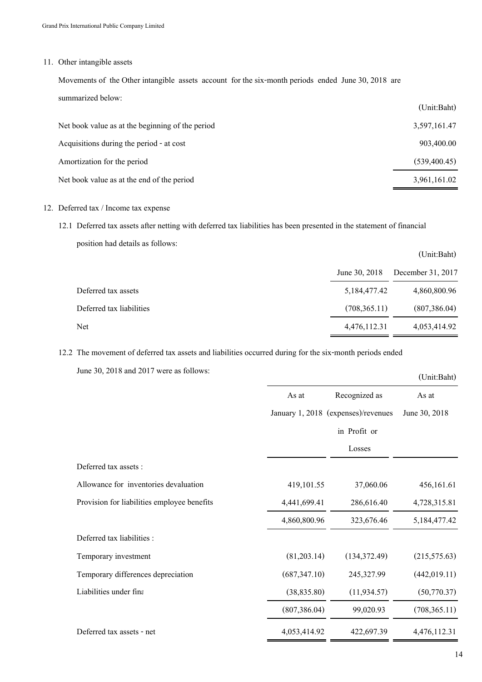### 11. Other intangible assets

Movements of the Other intangible assets account for the six-month periods ended June 30, 2018 are summarized below:

|                                                  | (Unit:Baht)  |
|--------------------------------------------------|--------------|
| Net book value as at the beginning of the period | 3,597,161.47 |
| Acquisitions during the period - at cost         | 903,400.00   |
| Amortization for the period                      | (539,400.45) |
| Net book value as at the end of the period       | 3,961,161.02 |

## 12. Deferred tax / Income tax expense

12.1 Deferred tax assets after netting with deferred tax liabilities has been presented in the statement of financial

position had details as follows:

|                          |               | (Unit:Baht)       |
|--------------------------|---------------|-------------------|
|                          | June 30, 2018 | December 31, 2017 |
| Deferred tax assets      | 5,184,477.42  | 4,860,800.96      |
| Deferred tax liabilities | (708, 365.11) | (807, 386.04)     |
| Net                      | 4,476,112.31  | 4,053,414.92      |

12.2 The movement of deferred tax assets and liabilities occurred during for the six-month periods ended

June 30, 2018 and 2017 were as follows:

| $J$ ture $J_{\rm V}$ , $2018$ and $2017$ were as follows. |               |                                     | (Unit:Baht)   |
|-----------------------------------------------------------|---------------|-------------------------------------|---------------|
|                                                           | As at         | Recognized as                       | As at         |
|                                                           |               | January 1, 2018 (expenses)/revenues | June 30, 2018 |
|                                                           |               | in Profit or                        |               |
|                                                           |               | Losses                              |               |
| Deferred tax assets :                                     |               |                                     |               |
| Allowance for inventories devaluation                     | 419,101.55    | 37,060.06                           | 456,161.61    |
| Provision for liabilities employee benefits               | 4,441,699.41  | 286,616.40                          | 4,728,315.81  |
|                                                           | 4,860,800.96  | 323,676.46                          | 5,184,477.42  |
| Deferred tax liabilities :                                |               |                                     |               |
| Temporary investment                                      | (81,203.14)   | (134, 372.49)                       | (215, 575.63) |
| Temporary differences depreciation                        | (687, 347.10) | 245,327.99                          | (442, 019.11) |
| Liabilities under fina                                    | (38, 835.80)  | (11, 934.57)                        | (50, 770.37)  |
|                                                           | (807, 386.04) | 99,020.93                           | (708, 365.11) |
| Deferred tax assets - net                                 | 4,053,414.92  | 422,697.39                          | 4,476,112.31  |
|                                                           |               |                                     |               |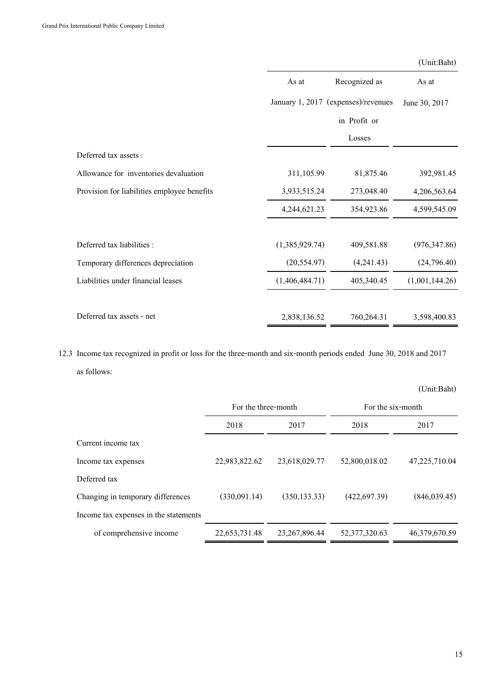|                                             |                |                                     | (Unit:Baht)    |
|---------------------------------------------|----------------|-------------------------------------|----------------|
|                                             | As at          | Recognized as                       | As at          |
|                                             |                | January 1, 2017 (expenses)/revenues | June 30, 2017  |
|                                             |                | in Profit or                        |                |
|                                             |                | Losses                              |                |
| Deferred tax assets :                       |                |                                     |                |
| Allowance for inventories devaluation       | 311,105.99     | 81,875.46                           | 392,981.45     |
| Provision for liabilities employee benefits | 3,933,515.24   | 273,048.40                          | 4,206,563.64   |
|                                             | 4,244,621.23   | 354,923.86                          | 4,599,545.09   |
| Deferred tax liabilities :                  | (1,385,929.74) | 409,581.88                          | (976, 347.86)  |
| Temporary differences depreciation          | (20, 554.97)   | (4,241.43)                          | (24,796.40)    |
| Liabilities under financial leases          | (1,406,484.71) | 405,340.45                          | (1,001,144.26) |
| Deferred tax assets - net                   | 2,838,136.52   | 760,264.31                          | 3,598,400.83   |

12.3 Income tax recognized in profit or loss for the three-month and six-month periods ended June 30, 2018 and 2017 as follows:

|                                       |                     |                  |                   | (Unit:Baht)   |
|---------------------------------------|---------------------|------------------|-------------------|---------------|
|                                       | For the three-month |                  | For the six-month |               |
|                                       | 2018                | 2017             | 2018              | 2017          |
| Current income tax                    |                     |                  |                   |               |
| Income tax expenses                   | 22,983,822.62       | 23,618,029.77    | 52,800,018.02     | 47,225,710.04 |
| Deferred tax                          |                     |                  |                   |               |
| Changing in temporary differences     | (330,091.14)        | (350, 133.33)    | (422, 697.39)     | (846,039.45)  |
| Income tax expenses in the statements |                     |                  |                   |               |
| of comprehensive income               | 22,653,731.48       | 23, 267, 896. 44 | 52, 377, 320. 63  | 46,379,670.59 |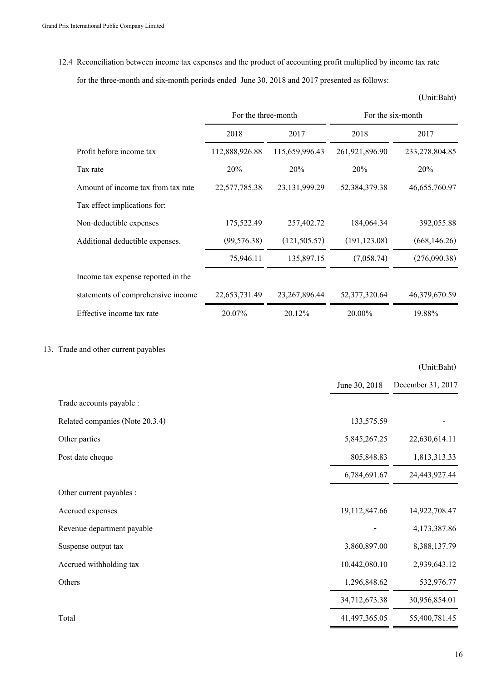12.4 Reconciliation between income tax expenses and the product of accounting profit multiplied by income tax rate for the three-month and six-month periods ended June 30, 2018 and 2017 presented as follows:

(Unit:Baht)

|                                    | For the three-month |                  | For the six-month |                |
|------------------------------------|---------------------|------------------|-------------------|----------------|
|                                    | 2018                | 2017             | 2018              | 2017           |
| Profit before income tax           | 112,888,926.88      | 115,659,996.43   | 261,921,896.90    | 233,278,804.85 |
| Tax rate                           | 20%                 | 20%              | 20%               | 20%            |
| Amount of income tax from tax rate | 22,577,785.38       | 23,131,999.29    | 52,384,379.38     | 46,655,760.97  |
| Tax effect implications for:       |                     |                  |                   |                |
| Non-deductible expenses            | 175,522.49          | 257,402.72       | 184,064.34        | 392,055.88     |
| Additional deductible expenses.    | (99, 576.38)        | (121, 505.57)    | (191, 123.08)     | (668, 146.26)  |
|                                    | 75,946.11           | 135,897.15       | (7,058.74)        | (276,090.38)   |
| Income tax expense reported in the |                     |                  |                   |                |
| statements of comprehensive income | 22,653,731.49       | 23, 267, 896. 44 | 52, 377, 320.64   | 46,379,670.59  |
| Effective income tax rate          | 20.07%              | 20.12%           | 20.00%            | 19.88%         |

## 13. Trade and other current payables

|                                 |               | (Unit:Baht)       |
|---------------------------------|---------------|-------------------|
|                                 | June 30, 2018 | December 31, 2017 |
| Trade accounts payable :        |               |                   |
| Related companies (Note 20.3.4) | 133,575.59    |                   |
| Other parties                   | 5,845,267.25  | 22,630,614.11     |
| Post date cheque                | 805,848.83    | 1,813,313.33      |
|                                 | 6,784,691.67  | 24,443,927.44     |
| Other current payables :        |               |                   |
| Accrued expenses                | 19,112,847.66 | 14,922,708.47     |
| Revenue department payable      |               | 4,173,387.86      |
| Suspense output tax             | 3,860,897.00  | 8,388,137.79      |
| Accrued withholding tax         | 10,442,080.10 | 2,939,643.12      |
| Others                          | 1,296,848.62  | 532,976.77        |
|                                 | 34,712,673.38 | 30,956,854.01     |
| Total                           | 41,497,365.05 | 55,400,781.45     |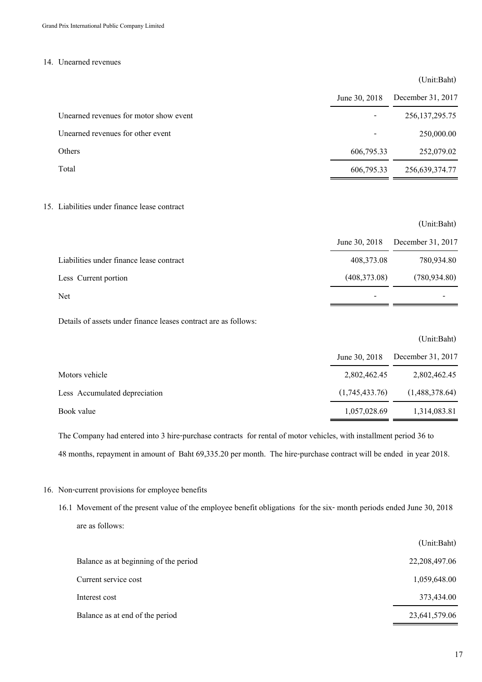#### 14. Unearned revenues

#### (Unit:Baht)

|                                        | June 30, 2018 | December 31, 2017 |
|----------------------------------------|---------------|-------------------|
| Unearned revenues for motor show event |               | 256, 137, 295. 75 |
| Unearned revenues for other event      |               | 250,000.00        |
| Others                                 | 606,795.33    | 252,079.02        |
| Total                                  | 606,795.33    | 256,639,374.77    |
|                                        |               |                   |

#### 15. Liabilities under finance lease contract

|                                          |               | (Unit:Baht)       |
|------------------------------------------|---------------|-------------------|
|                                          | June 30, 2018 | December 31, 2017 |
| Liabilities under finance lease contract | 408,373.08    | 780,934.80        |
| Less Current portion                     | (408,373.08)  | (780, 934.80)     |
| Net                                      | $\sim$        |                   |
|                                          |               |                   |

Details of assets under finance leases contract are as follows:

|                               |                | (Unit:Baht)       |
|-------------------------------|----------------|-------------------|
|                               | June 30, 2018  | December 31, 2017 |
| Motors vehicle                | 2,802,462.45   | 2,802,462.45      |
| Less Accumulated depreciation | (1,745,433.76) | (1,488,378.64)    |
| Book value                    | 1,057,028.69   | 1,314,083.81      |
|                               |                |                   |

The Company had entered into 3 hire-purchase contracts for rental of motor vehicles, with installment period 36 to 48 months, repayment in amount of Baht 69,335.20 per month. The hire-purchase contract will be ended in year 2018.

### 16. Non-current provisions for employee benefits

16.1 Movement of the present value of the employee benefit obligations for the six- month periods ended June 30, 2018 are as follows:

|                                       | (Unit:Baht)   |
|---------------------------------------|---------------|
| Balance as at beginning of the period | 22,208,497.06 |
| Current service cost                  | 1,059,648.00  |
| Interest cost                         | 373,434.00    |
| Balance as at end of the period       | 23,641,579.06 |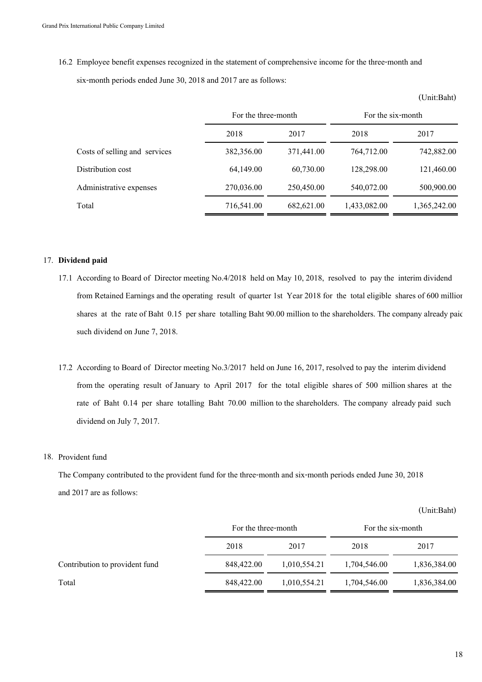16.2 Employee benefit expenses recognized in the statement of comprehensive income for the three-month and six-month periods ended June 30, 2018 and 2017 are as follows:

|                               | For the three-month |            | For the six-month |              |
|-------------------------------|---------------------|------------|-------------------|--------------|
|                               | 2018                | 2017       | 2018              | 2017         |
| Costs of selling and services | 382,356.00          | 371,441.00 | 764,712.00        | 742,882.00   |
| Distribution cost             | 64,149.00           | 60,730.00  | 128,298.00        | 121,460.00   |
| Administrative expenses       | 270,036.00          | 250,450.00 | 540,072.00        | 500,900.00   |
| Total                         | 716,541.00          | 682,621.00 | 1,433,082.00      | 1,365,242.00 |

### 17. **Dividend paid**

- 17.1 According to Board of Director meeting No.4/2018 held on May 10, 2018, resolved to pay the interim dividend from Retained Earnings and the operating result of quarter 1st Year 2018 for the total eligible shares of 600 million shares at the rate of Baht 0.15 per share totalling Baht 90.00 million to the shareholders. The company already paid such dividend on June 7, 2018.
- 17.2 According to Board of Director meeting No.3/2017 held on June 16, 2017, resolved to pay the interim dividend from the operating result of January to April 2017 for the total eligible shares of 500 million shares at the rate of Baht 0.14 per share totalling Baht 70.00 million to the shareholders. The company already paid such dividend on July 7, 2017.

#### 18. Provident fund

The Company contributed to the provident fund for the three-month and six-month periods ended June 30, 2018 and 2017 are as follows:

(Unit:Baht)

|                                | For the three-month |              | For the six-month |              |
|--------------------------------|---------------------|--------------|-------------------|--------------|
|                                | 2018                | 2017         | 2018              | 2017         |
| Contribution to provident fund | 848,422.00          | 1,010,554.21 | 1,704,546.00      | 1,836,384.00 |
| Total                          | 848,422.00          | 1,010,554.21 | 1,704,546.00      | 1,836,384.00 |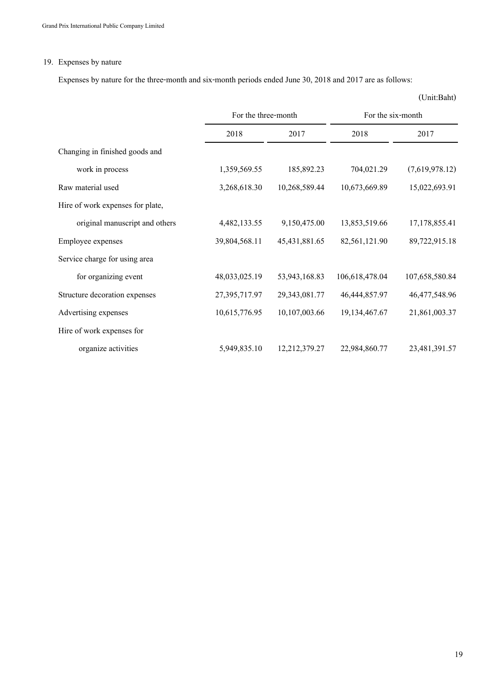## 19. Expenses by nature

Expenses by nature for the three-month and six-month periods ended June 30, 2018 and 2017 are as follows:

|                                  | For the three-month |                  | For the six-month |                  |  |
|----------------------------------|---------------------|------------------|-------------------|------------------|--|
|                                  | 2018                | 2017             | 2018              | 2017             |  |
| Changing in finished goods and   |                     |                  |                   |                  |  |
| work in process                  | 1,359,569.55        | 185,892.23       | 704,021.29        | (7,619,978.12)   |  |
| Raw material used                | 3,268,618.30        | 10,268,589.44    | 10,673,669.89     | 15,022,693.91    |  |
| Hire of work expenses for plate, |                     |                  |                   |                  |  |
| original manuscript and others   | 4,482,133.55        | 9,150,475.00     | 13,853,519.66     | 17, 178, 855. 41 |  |
| Employee expenses                | 39,804,568.11       | 45, 431, 881. 65 | 82,561,121.90     | 89,722,915.18    |  |
| Service charge for using area    |                     |                  |                   |                  |  |
| for organizing event             | 48,033,025.19       | 53,943,168.83    | 106,618,478.04    | 107,658,580.84   |  |
| Structure decoration expenses    | 27,395,717.97       | 29,343,081.77    | 46, 444, 857. 97  | 46,477,548.96    |  |
| Advertising expenses             | 10,615,776.95       | 10,107,003.66    | 19,134,467.67     | 21,861,003.37    |  |
| Hire of work expenses for        |                     |                  |                   |                  |  |
| organize activities              | 5,949,835.10        | 12,212,379.27    | 22,984,860.77     | 23,481,391.57    |  |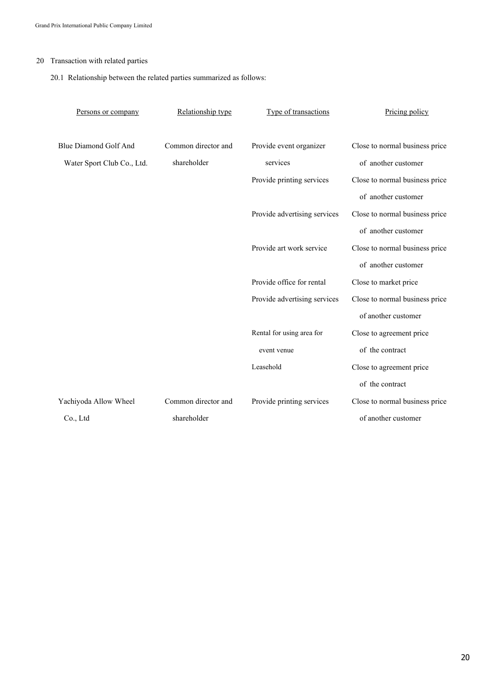## 20 Transaction with related parties

20.1 Relationship between the related parties summarized as follows:

| Persons or company           | Relationship type   | Type of transactions         | Pricing policy                 |
|------------------------------|---------------------|------------------------------|--------------------------------|
|                              |                     |                              |                                |
| <b>Blue Diamond Golf And</b> | Common director and | Provide event organizer      | Close to normal business price |
| Water Sport Club Co., Ltd.   | shareholder         | services                     | of another customer            |
|                              |                     | Provide printing services    | Close to normal business price |
|                              |                     |                              | of another customer            |
|                              |                     | Provide advertising services | Close to normal business price |
|                              |                     |                              | of another customer            |
|                              |                     | Provide art work service     | Close to normal business price |
|                              |                     |                              | of another customer            |
|                              |                     | Provide office for rental    | Close to market price          |
|                              |                     | Provide advertising services | Close to normal business price |
|                              |                     |                              | of another customer            |
|                              |                     | Rental for using area for    | Close to agreement price       |
|                              |                     | event venue                  | of the contract                |
|                              |                     | Leasehold                    | Close to agreement price       |
|                              |                     |                              | of the contract                |
| Yachiyoda Allow Wheel        | Common director and | Provide printing services    | Close to normal business price |
| Co., Ltd                     | shareholder         |                              | of another customer            |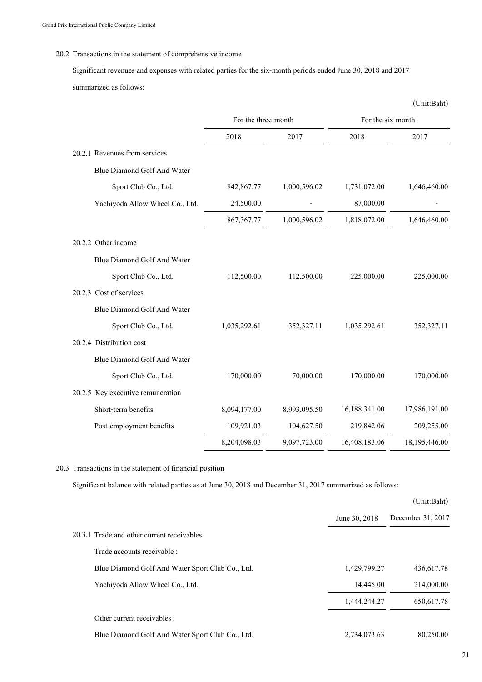### 20.2 Transactions in the statement of comprehensive income

Significant revenues and expenses with related parties for the six-month periods ended June 30, 2018 and 2017 summarized as follows:

|                                    |                     |              |                   | (Unit:Baht)   |
|------------------------------------|---------------------|--------------|-------------------|---------------|
|                                    | For the three-month |              | For the six-month |               |
|                                    | 2018                | 2017         | 2018              | 2017          |
| 20.2.1 Revenues from services      |                     |              |                   |               |
| Blue Diamond Golf And Water        |                     |              |                   |               |
| Sport Club Co., Ltd.               | 842, 867. 77        | 1,000,596.02 | 1,731,072.00      | 1,646,460.00  |
| Yachiyoda Allow Wheel Co., Ltd.    | 24,500.00           |              | 87,000.00         |               |
|                                    | 867, 367. 77        | 1,000,596.02 | 1,818,072.00      | 1,646,460.00  |
| 20.2.2 Other income                |                     |              |                   |               |
| Blue Diamond Golf And Water        |                     |              |                   |               |
| Sport Club Co., Ltd.               | 112,500.00          | 112,500.00   | 225,000.00        | 225,000.00    |
| 20.2.3 Cost of services            |                     |              |                   |               |
| Blue Diamond Golf And Water        |                     |              |                   |               |
| Sport Club Co., Ltd.               | 1,035,292.61        | 352,327.11   | 1,035,292.61      | 352,327.11    |
| 20.2.4 Distribution cost           |                     |              |                   |               |
| <b>Blue Diamond Golf And Water</b> |                     |              |                   |               |
| Sport Club Co., Ltd.               | 170,000.00          | 70,000.00    | 170,000.00        | 170,000.00    |
| 20.2.5 Key executive remuneration  |                     |              |                   |               |
| Short-term benefits                | 8,094,177.00        | 8,993,095.50 | 16,188,341.00     | 17,986,191.00 |
| Post-employment benefits           | 109,921.03          | 104,627.50   | 219,842.06        | 209,255.00    |
|                                    | 8,204,098.03        | 9,097,723.00 | 16,408,183.06     | 18,195,446.00 |

20.3 Transactions in the statement of financial position

Significant balance with related parties as at June 30, 2018 and December 31, 2017 summarized as follows:

|                                                  |               | (Unit:Baht)       |
|--------------------------------------------------|---------------|-------------------|
|                                                  | June 30, 2018 | December 31, 2017 |
| 20.3.1 Trade and other current receivables       |               |                   |
| Trade accounts receivable :                      |               |                   |
| Blue Diamond Golf And Water Sport Club Co., Ltd. | 1,429,799.27  | 436,617.78        |
| Yachiyoda Allow Wheel Co., Ltd.                  | 14,445.00     | 214,000.00        |
|                                                  | 1,444,244.27  | 650, 617.78       |
| Other current receivables :                      |               |                   |
| Blue Diamond Golf And Water Sport Club Co., Ltd. | 2,734,073.63  | 80,250.00         |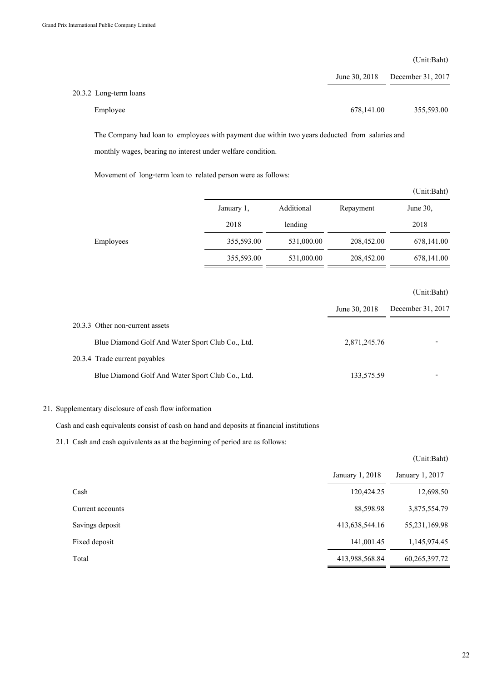(Unit:Baht)

|                        | June 30, 2018 | December 31, 2017 |
|------------------------|---------------|-------------------|
| 20.3.2 Long-term loans |               |                   |
| Employee               | 678,141.00    | 355,593.00        |

The Company had loan to employees with payment due within two years deducted from salaries and monthly wages, bearing no interest under welfare condition.

Movement of long-term loan to related person were as follows:

|           |            |            |            | (Unit:Baht) |
|-----------|------------|------------|------------|-------------|
|           | January 1, | Additional | Repayment  | June $30$ , |
|           | 2018       | lending    |            | 2018        |
| Employees | 355,593.00 | 531,000.00 | 208,452.00 | 678,141.00  |
|           | 355,593.00 | 531,000.00 | 208,452.00 | 678,141.00  |
|           |            |            |            |             |
|           |            |            |            | (Unit:Baht) |

|                                                  | June 30, 2018 | December 31, 2017 |
|--------------------------------------------------|---------------|-------------------|
| 20.3.3 Other non-current assets                  |               |                   |
| Blue Diamond Golf And Water Sport Club Co., Ltd. | 2,871,245.76  |                   |
| 20.3.4 Trade current payables                    |               |                   |
| Blue Diamond Golf And Water Sport Club Co., Ltd. | 133,575.59    |                   |

### 21. Supplementary disclosure of cash flow information

Cash and cash equivalents consist of cash on hand and deposits at financial institutions

21.1 Cash and cash equivalents as at the beginning of period are as follows:

|                  |                 | (Unit:Baht)      |
|------------------|-----------------|------------------|
|                  | January 1, 2018 | January 1, 2017  |
| Cash             | 120,424.25      | 12,698.50        |
| Current accounts | 88,598.98       | 3,875,554.79     |
| Savings deposit  | 413,638,544.16  | 55,231,169.98    |
| Fixed deposit    | 141,001.45      | 1,145,974.45     |
| Total            | 413,988,568.84  | 60, 265, 397. 72 |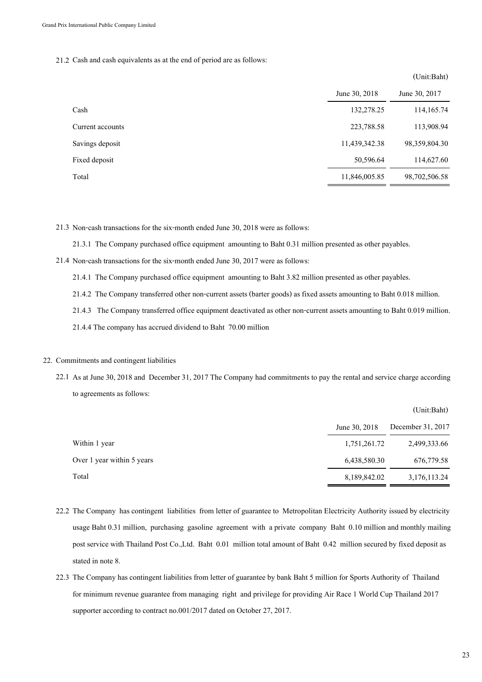#### 21.2 Cash and cash equivalents as at the end of period are as follows:

|                  |               | (Unit:Baht)   |
|------------------|---------------|---------------|
|                  | June 30, 2018 | June 30, 2017 |
| Cash             | 132,278.25    | 114,165.74    |
| Current accounts | 223,788.58    | 113,908.94    |
| Savings deposit  | 11,439,342.38 | 98,359,804.30 |
| Fixed deposit    | 50,596.64     | 114,627.60    |
| Total            | 11,846,005.85 | 98,702,506.58 |

21.3 Non-cash transactions for the six-month ended June 30, 2018 were as follows:

21.3.1 The Company purchased office equipment amounting to Baht 0.31 million presented as other payables.

21.4 Non-cash transactions for the six-month ended June 30, 2017 were as follows:

21.4.1 The Company purchased office equipment amounting to Baht 3.82 million presented as other payables.

21.4.2 The Company transferred other non-current assets (barter goods) as fixed assets amounting to Baht 0.018 million.

21.4.3 The Company transferred office equipment deactivated as other non-current assets amounting to Baht 0.019 million.

21.4.4 The company has accrued dividend to Baht 70.00 million

## 22. Commitments and contingent liabilities

22.1 As at June 30, 2018 and December 31, 2017 The Company had commitments to pay the rental and service charge according to agreements as follows:

|                            |               | (Unit:Baht)       |
|----------------------------|---------------|-------------------|
|                            | June 30, 2018 | December 31, 2017 |
| Within 1 year              | 1,751,261.72  | 2,499,333.66      |
| Over 1 year within 5 years | 6,438,580.30  | 676,779.58        |
| Total                      | 8,189,842.02  | 3,176,113.24      |

- 22.2 The Company has contingent liabilities from letter of guarantee to Metropolitan Electricity Authority issued by electricity usage Baht 0.31 million, purchasing gasoline agreement with a private company Baht 0.10 million and monthly mailing post service with Thailand Post Co.,Ltd. Baht 0.01 million total amount of Baht 0.42 million secured by fixed deposit as stated in note 8.
- 22.3 The Company has contingent liabilities from letter of guarantee by bank Baht 5 million for Sports Authority of Thailand for minimum revenue guarantee from managing right and privilege for providing Air Race 1 World Cup Thailand 2017 supporter according to contract no.001/2017 dated on October 27, 2017.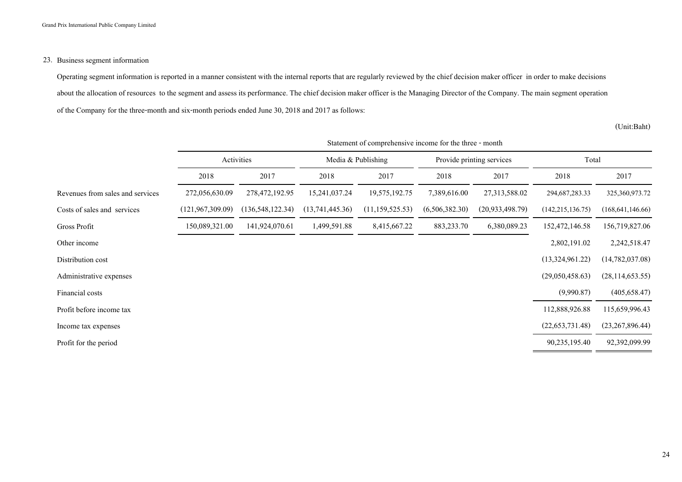## 23. Business segment information

Operating segment information is reported in a manner consistent with the internal reports that are regularly reviewed by the chief decision maker officer in order to make decisions about the allocation of resources to the segment and assess its performance. The chief decision maker officer is the Managing Director of the Company. The main segment operation of the Company for the three-month and six-month periods ended June 30, 2018 and 2017 as follows:

(Unit:Baht)

|                                  | Activities         |                    | Media & Publishing |                   | Provide printing services |                    | Total              |                    |
|----------------------------------|--------------------|--------------------|--------------------|-------------------|---------------------------|--------------------|--------------------|--------------------|
|                                  | 2018               | 2017               | 2018               | 2017              | 2018                      | 2017               | 2018               | 2017               |
| Revenues from sales and services | 272,056,630.09     | 278,472,192.95     | 15,241,037.24      | 19,575,192.75     | 7,389,616.00              | 27,313,588.02      | 294, 687, 283. 33  | 325,360,973.72     |
| Costs of sales and services      | (121, 967, 309.09) | (136, 548, 122.34) | (13,741,445.36)    | (11, 159, 525.53) | (6,506,382.30)            | (20, 933, 498, 79) | (142, 215, 136.75) | (168, 641, 146.66) |
| Gross Profit                     | 150,089,321.00     | 141,924,070.61     | 1,499,591.88       | 8,415,667.22      | 883,233.70                | 6,380,089.23       | 152,472,146.58     | 156,719,827.06     |
| Other income                     |                    |                    |                    |                   |                           |                    | 2,802,191.02       | 2,242,518.47       |
| Distribution cost                |                    |                    |                    |                   |                           |                    | (13,324,961.22)    | (14,782,037.08)    |
| Administrative expenses          |                    |                    |                    |                   |                           |                    | (29,050,458.63)    | (28, 114, 653.55)  |
| Financial costs                  |                    |                    |                    |                   |                           |                    | (9,990.87)         | (405, 658.47)      |
| Profit before income tax         |                    |                    |                    |                   |                           |                    | 112,888,926.88     | 115,659,996.43     |
| Income tax expenses              |                    |                    |                    |                   |                           |                    | (22, 653, 731.48)  | (23, 267, 896.44)  |
| Profit for the period            |                    |                    |                    |                   |                           |                    | 90,235,195.40      | 92,392,099.99      |

Statement of comprehensive income for the three - month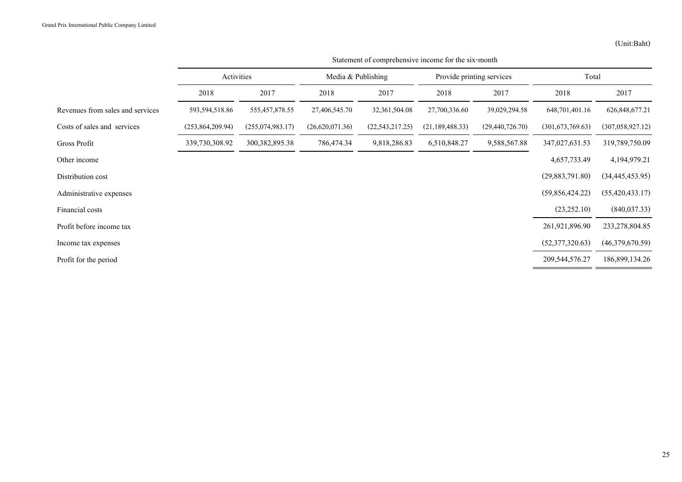|                                  | Activities         |                    | Media & Publishing |                   | Provide printing services |                   | Total              |                    |
|----------------------------------|--------------------|--------------------|--------------------|-------------------|---------------------------|-------------------|--------------------|--------------------|
|                                  | 2018               | 2017               | 2018               | 2017              | 2018                      | 2017              | 2018               | 2017               |
| Revenues from sales and services | 593,594,518.86     | 555,457,878.55     | 27,406,545.70      | 32, 361, 504. 08  | 27,700,336.60             | 39,029,294.58     | 648, 701, 401. 16  | 626,848,677.21     |
| Costs of sales and services      | (253, 864, 209.94) | (255, 074, 983.17) | (26,620,071.36)    | (22, 543, 217.25) | (21, 189, 488.33)         | (29, 440, 726.70) | (301, 673, 769.63) | (307, 058, 927.12) |
| Gross Profit                     | 339,730,308.92     | 300, 382, 895. 38  | 786,474.34         | 9,818,286.83      | 6,510,848.27              | 9,588,567.88      | 347,027,631.53     | 319,789,750.09     |
| Other income                     |                    |                    |                    |                   |                           |                   | 4,657,733.49       | 4,194,979.21       |
| Distribution cost                |                    |                    |                    |                   |                           |                   | (29,883,791.80)    | (34, 445, 453.95)  |
| Administrative expenses          |                    |                    |                    |                   |                           |                   | (59,856,424.22)    | (55, 420, 433.17)  |
| Financial costs                  |                    |                    |                    |                   |                           |                   | (23, 252.10)       | (840, 037.33)      |
| Profit before income tax         |                    |                    |                    |                   |                           |                   | 261,921,896.90     | 233,278,804.85     |
| Income tax expenses              |                    |                    |                    |                   |                           |                   | (52,377,320.63)    | (46,379,670.59)    |
| Profit for the period            |                    |                    |                    |                   |                           |                   | 209, 544, 576. 27  | 186,899,134.26     |

Statement of comprehensive income for the six-month